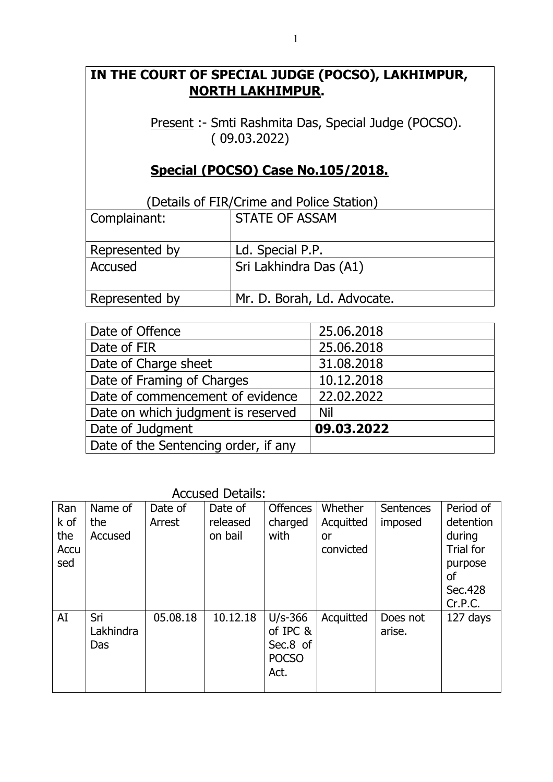# **IN THE COURT OF SPECIAL JUDGE (POCSO), LAKHIMPUR, NORTH LAKHIMPUR.**

Present :- Smti Rashmita Das, Special Judge (POCSO). ( 09.03.2022)

# **Special (POCSO) Case No.105/2018.**

| (Details of FIR/Crime and Police Station) |                             |  |
|-------------------------------------------|-----------------------------|--|
| Complainant:                              | <b>STATE OF ASSAM</b>       |  |
|                                           |                             |  |
| Represented by                            | Ld. Special P.P.            |  |
| Accused                                   | Sri Lakhindra Das (A1)      |  |
|                                           |                             |  |
| Represented by                            | Mr. D. Borah, Ld. Advocate. |  |

| 25.06.2018 |
|------------|
| 25.06.2018 |
| 31.08.2018 |
| 10.12.2018 |
| 22.02.2022 |
| Nil        |
| 09.03.2022 |
|            |
|            |

Accused Details:

| Ran<br>k of<br>the<br>Accu<br>sed | Name of<br>the<br>Accused | Date of<br>Arrest | Date of<br>released<br>on bail | <b>Offences</b><br>charged<br>with                        | Whether<br>Acquitted<br>or<br>convicted | Sentences<br>imposed | Period of<br>detention<br>during<br>Trial for<br>purpose<br>οf<br>Sec.428<br>Cr.P.C. |
|-----------------------------------|---------------------------|-------------------|--------------------------------|-----------------------------------------------------------|-----------------------------------------|----------------------|--------------------------------------------------------------------------------------|
| AI                                | Sri<br>Lakhindra<br>Das   | 05.08.18          | 10.12.18                       | $U/s-366$<br>of IPC &<br>Sec.8 of<br><b>POCSO</b><br>Act. | Acquitted                               | Does not<br>arise.   | 127 days                                                                             |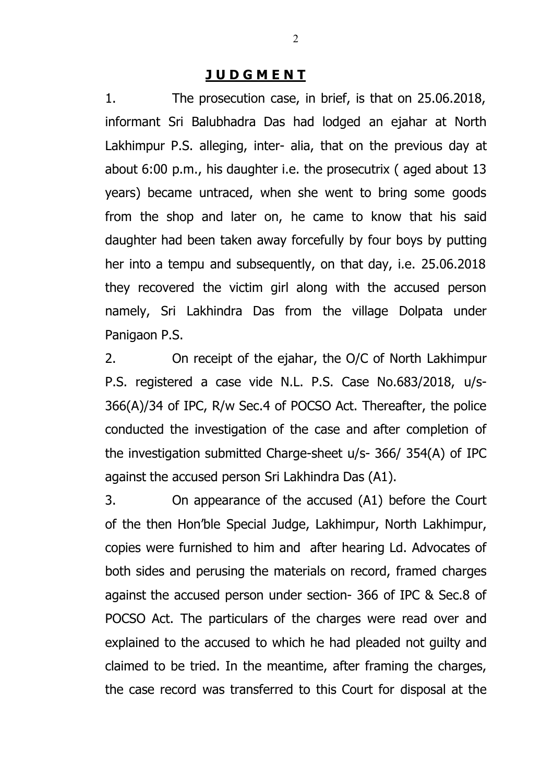#### **J U D G M E N T**

1. The prosecution case, in brief, is that on 25.06.2018, informant Sri Balubhadra Das had lodged an ejahar at North Lakhimpur P.S. alleging, inter- alia, that on the previous day at about 6:00 p.m., his daughter i.e. the prosecutrix ( aged about 13 years) became untraced, when she went to bring some goods from the shop and later on, he came to know that his said daughter had been taken away forcefully by four boys by putting her into a tempu and subsequently, on that day, i.e. 25.06.2018 they recovered the victim girl along with the accused person namely, Sri Lakhindra Das from the village Dolpata under Panigaon P.S.

2. On receipt of the ejahar, the O/C of North Lakhimpur P.S. registered a case vide N.L. P.S. Case No.683/2018, u/s-366(A)/34 of IPC, R/w Sec.4 of POCSO Act. Thereafter, the police conducted the investigation of the case and after completion of the investigation submitted Charge-sheet u/s- 366/ 354(A) of IPC against the accused person Sri Lakhindra Das (A1).

3. On appearance of the accused (A1) before the Court of the then Hon'ble Special Judge, Lakhimpur, North Lakhimpur, copies were furnished to him and after hearing Ld. Advocates of both sides and perusing the materials on record, framed charges against the accused person under section- 366 of IPC & Sec.8 of POCSO Act. The particulars of the charges were read over and explained to the accused to which he had pleaded not guilty and claimed to be tried. In the meantime, after framing the charges, the case record was transferred to this Court for disposal at the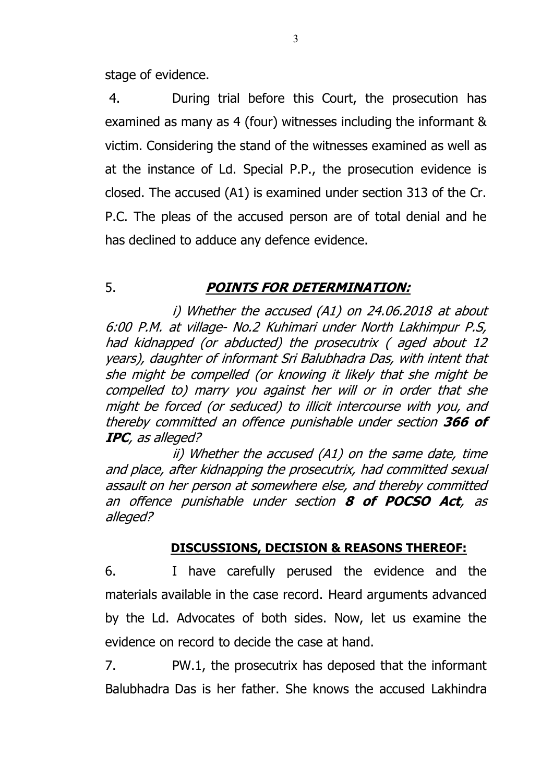stage of evidence.

4. During trial before this Court, the prosecution has examined as many as 4 (four) witnesses including the informant & victim. Considering the stand of the witnesses examined as well as at the instance of Ld. Special P.P., the prosecution evidence is closed. The accused (A1) is examined under section 313 of the Cr. P.C. The pleas of the accused person are of total denial and he has declined to adduce any defence evidence.

## 5. *POINTS FOR DETERMINATION:*

*i) Whether the accused (A1) on 24.06.2018 at about 6:00 P.M. at village- No.2 Kuhimari under North Lakhimpur P.S, had kidnapped (or abducted) the prosecutrix ( aged about 12 years), daughter of informant Sri Balubhadra Das, with intent that she might be compelled (or knowing it likely that she might be compelled to) marry you against her will or in order that she might be forced (or seduced) to illicit intercourse with you, and thereby committed an offence punishable under section 366 of IPC, as alleged?*

*ii) Whether the accused (A1) on the same date, time and place, after kidnapping the prosecutrix, had committed sexual assault on her person at somewhere else, and thereby committed an offence punishable under section 8 of POCSO Act, as alleged?*

### **DISCUSSIONS, DECISION & REASONS THEREOF:**

6. I have carefully perused the evidence and the materials available in the case record. Heard arguments advanced by the Ld. Advocates of both sides. Now, let us examine the evidence on record to decide the case at hand.

7. PW.1, the prosecutrix has deposed that the informant Balubhadra Das is her father. She knows the accused Lakhindra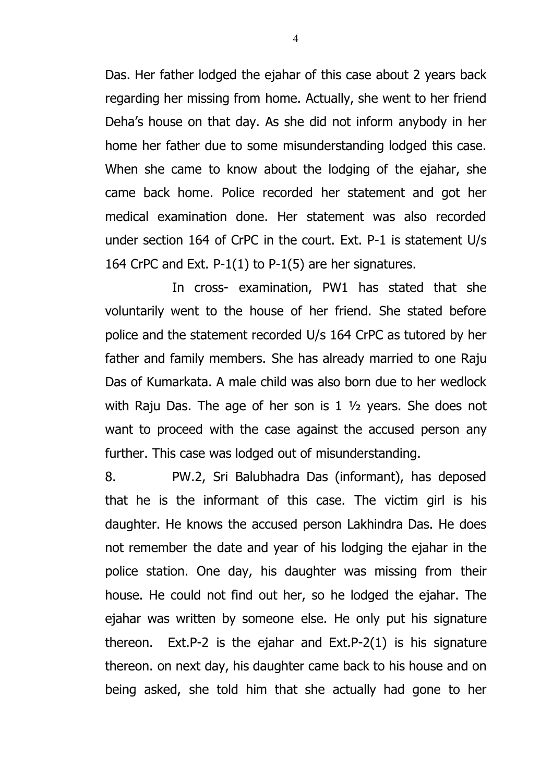Das. Her father lodged the ejahar of this case about 2 years back regarding her missing from home. Actually, she went to her friend Deha's house on that day. As she did not inform anybody in her home her father due to some misunderstanding lodged this case. When she came to know about the lodging of the ejahar, she came back home. Police recorded her statement and got her medical examination done. Her statement was also recorded under section 164 of CrPC in the court. Ext. P-1 is statement U/s 164 CrPC and Ext. P-1(1) to P-1(5) are her signatures.

In cross- examination, PW1 has stated that she voluntarily went to the house of her friend. She stated before police and the statement recorded U/s 164 CrPC as tutored by her father and family members. She has already married to one Raju Das of Kumarkata. A male child was also born due to her wedlock with Raju Das. The age of her son is 1 ½ years. She does not want to proceed with the case against the accused person any further. This case was lodged out of misunderstanding.

8. PW.2, Sri Balubhadra Das (informant), has deposed that he is the informant of this case. The victim girl is his daughter. He knows the accused person Lakhindra Das. He does not remember the date and year of his lodging the ejahar in the police station. One day, his daughter was missing from their house. He could not find out her, so he lodged the ejahar. The ejahar was written by someone else. He only put his signature thereon. Ext.P-2 is the ejahar and Ext.P-2(1) is his signature thereon. on next day, his daughter came back to his house and on being asked, she told him that she actually had gone to her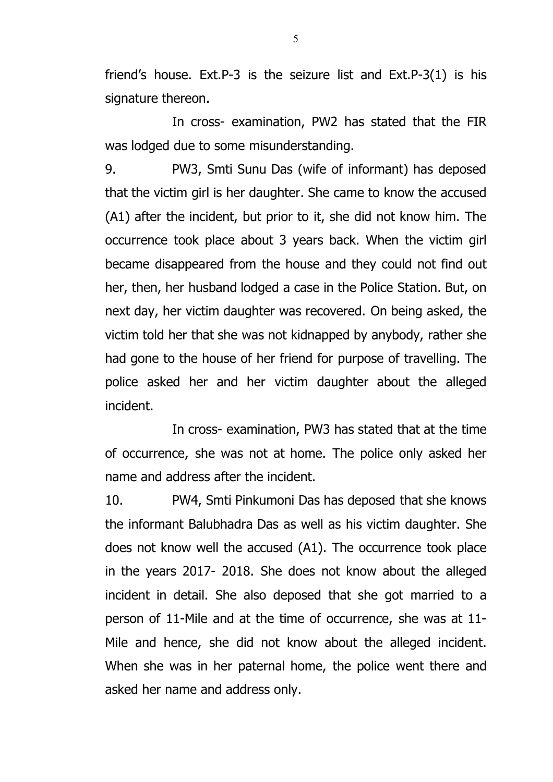friend's house. Ext.P-3 is the seizure list and Ext.P-3(1) is his signature thereon.

In cross- examination, PW2 has stated that the FIR was lodged due to some misunderstanding.

9. PW3, Smti Sunu Das (wife of informant) has deposed that the victim girl is her daughter. She came to know the accused (A1) after the incident, but prior to it, she did not know him. The occurrence took place about 3 years back. When the victim girl became disappeared from the house and they could not find out her, then, her husband lodged a case in the Police Station. But, on next day, her victim daughter was recovered. On being asked, the victim told her that she was not kidnapped by anybody, rather she had gone to the house of her friend for purpose of travelling. The police asked her and her victim daughter about the alleged incident.

In cross- examination, PW3 has stated that at the time of occurrence, she was not at home. The police only asked her name and address after the incident.

10. PW4, Smti Pinkumoni Das has deposed that she knows the informant Balubhadra Das as well as his victim daughter. She does not know well the accused (A1). The occurrence took place in the years 2017- 2018. She does not know about the alleged incident in detail. She also deposed that she got married to a person of 11-Mile and at the time of occurrence, she was at 11- Mile and hence, she did not know about the alleged incident. When she was in her paternal home, the police went there and asked her name and address only.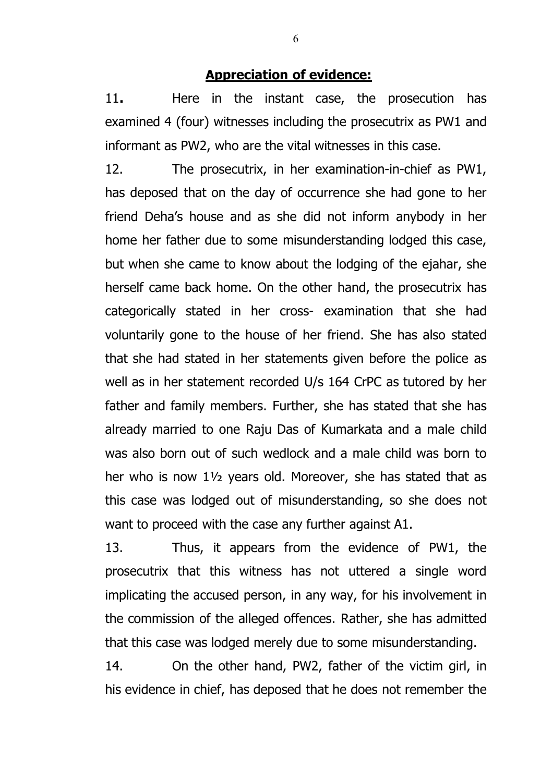#### **Appreciation of evidence:**

11**.** Here in the instant case, the prosecution has examined 4 (four) witnesses including the prosecutrix as PW1 and informant as PW2, who are the vital witnesses in this case.

12. The prosecutrix, in her examination-in-chief as PW1, has deposed that on the day of occurrence she had gone to her friend Deha's house and as she did not inform anybody in her home her father due to some misunderstanding lodged this case, but when she came to know about the lodging of the ejahar, she herself came back home. On the other hand, the prosecutrix has categorically stated in her cross- examination that she had voluntarily gone to the house of her friend. She has also stated that she had stated in her statements given before the police as well as in her statement recorded U/s 164 CrPC as tutored by her father and family members. Further, she has stated that she has already married to one Raju Das of Kumarkata and a male child was also born out of such wedlock and a male child was born to her who is now 1½ years old. Moreover, she has stated that as this case was lodged out of misunderstanding, so she does not want to proceed with the case any further against A1.

13. Thus, it appears from the evidence of PW1, the prosecutrix that this witness has not uttered a single word implicating the accused person, in any way, for his involvement in the commission of the alleged offences. Rather, she has admitted that this case was lodged merely due to some misunderstanding.

14. On the other hand, PW2, father of the victim girl, in his evidence in chief, has deposed that he does not remember the

6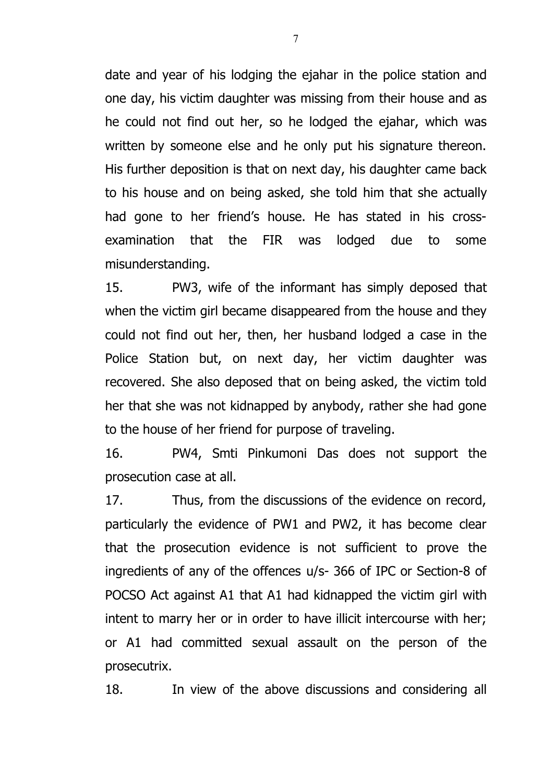date and year of his lodging the ejahar in the police station and one day, his victim daughter was missing from their house and as he could not find out her, so he lodged the ejahar, which was written by someone else and he only put his signature thereon. His further deposition is that on next day, his daughter came back to his house and on being asked, she told him that she actually had gone to her friend's house. He has stated in his crossexamination that the FIR was lodged due to some misunderstanding.

15. PW3, wife of the informant has simply deposed that when the victim girl became disappeared from the house and they could not find out her, then, her husband lodged a case in the Police Station but, on next day, her victim daughter was recovered. She also deposed that on being asked, the victim told her that she was not kidnapped by anybody, rather she had gone to the house of her friend for purpose of traveling.

16. PW4, Smti Pinkumoni Das does not support the prosecution case at all.

17. Thus, from the discussions of the evidence on record, particularly the evidence of PW1 and PW2, it has become clear that the prosecution evidence is not sufficient to prove the ingredients of any of the offences u/s- 366 of IPC or Section-8 of POCSO Act against A1 that A1 had kidnapped the victim girl with intent to marry her or in order to have illicit intercourse with her; or A1 had committed sexual assault on the person of the prosecutrix.

18. In view of the above discussions and considering all

7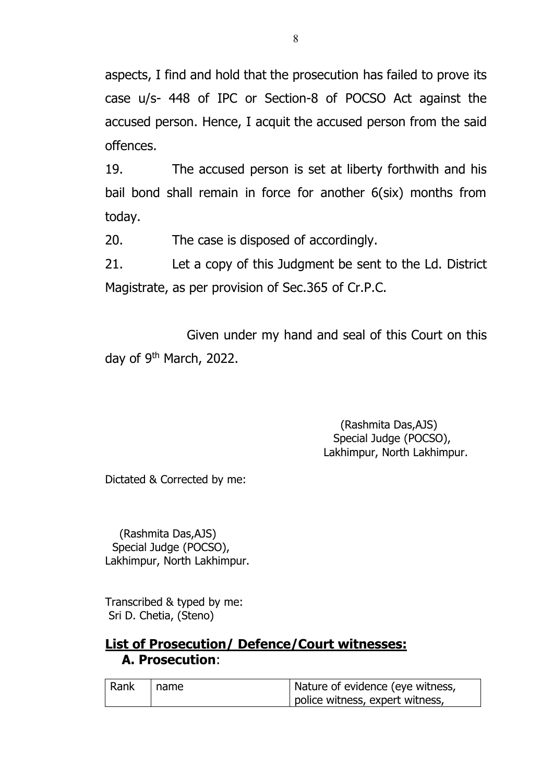aspects, I find and hold that the prosecution has failed to prove its case u/s- 448 of IPC or Section-8 of POCSO Act against the accused person. Hence, I acquit the accused person from the said offences.

19. The accused person is set at liberty forthwith and his bail bond shall remain in force for another 6(six) months from today.

20. The case is disposed of accordingly.

21. Let a copy of this Judgment be sent to the Ld. District Magistrate, as per provision of Sec.365 of Cr.P.C.

Given under my hand and seal of this Court on this day of 9<sup>th</sup> March, 2022.

> (Rashmita Das,AJS) Special Judge (POCSO), Lakhimpur, North Lakhimpur.

Dictated & Corrected by me:

(Rashmita Das,AJS) Special Judge (POCSO), Lakhimpur, North Lakhimpur.

Transcribed & typed by me: Sri D. Chetia, (Steno)

## **List of Prosecution/ Defence/Court witnesses: A. Prosecution**:

| Rank | I name | Nature of evidence (eye witness, |
|------|--------|----------------------------------|
|      |        | police witness, expert witness,  |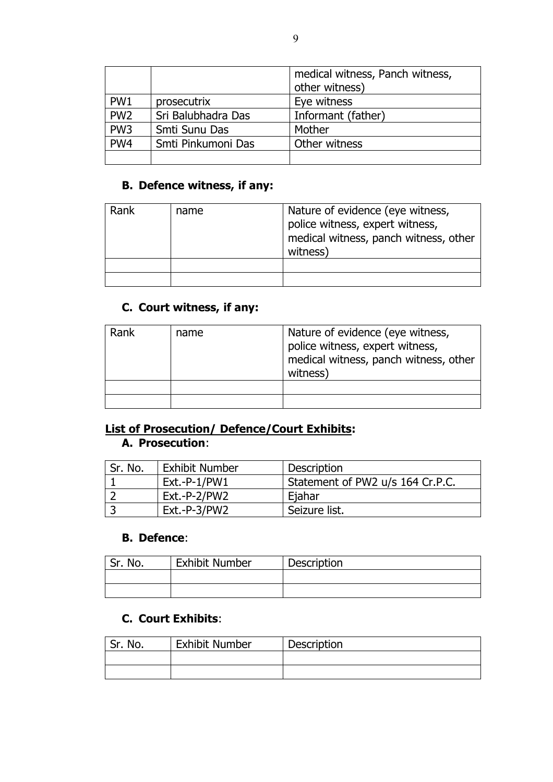|                 |                    | medical witness, Panch witness,<br>other witness) |
|-----------------|--------------------|---------------------------------------------------|
| PW <sub>1</sub> | prosecutrix        | Eye witness                                       |
| PW <sub>2</sub> | Sri Balubhadra Das | Informant (father)                                |
| PW <sub>3</sub> | Smti Sunu Das      | Mother                                            |
| PW <sub>4</sub> | Smti Pinkumoni Das | Other witness                                     |
|                 |                    |                                                   |

#### **B. Defence witness, if any:**

| Rank | name | Nature of evidence (eye witness,<br>police witness, expert witness,<br>medical witness, panch witness, other<br>witness) |
|------|------|--------------------------------------------------------------------------------------------------------------------------|
|      |      |                                                                                                                          |
|      |      |                                                                                                                          |

## **C. Court witness, if any:**

| Rank | name | Nature of evidence (eye witness,<br>police witness, expert witness,<br>medical witness, panch witness, other<br>witness) |
|------|------|--------------------------------------------------------------------------------------------------------------------------|
|      |      |                                                                                                                          |
|      |      |                                                                                                                          |

### **List of Prosecution/ Defence/Court Exhibits: A. Prosecution**:

| Sr. No. | <b>Exhibit Number</b> | Description                      |
|---------|-----------------------|----------------------------------|
|         | Ext.-P-1/PW1          | Statement of PW2 u/s 164 Cr.P.C. |
|         | Ext.-P-2/PW2          | Eiahar                           |
|         | Ext.-P-3/PW2          | Seizure list.                    |

#### **B. Defence**:

| Sr. No. | <b>Exhibit Number</b> | <b>Description</b> |
|---------|-----------------------|--------------------|
|         |                       |                    |
|         |                       |                    |

### **C. Court Exhibits**:

| Sr. No. | <b>Exhibit Number</b> | Description |
|---------|-----------------------|-------------|
|         |                       |             |
|         |                       |             |